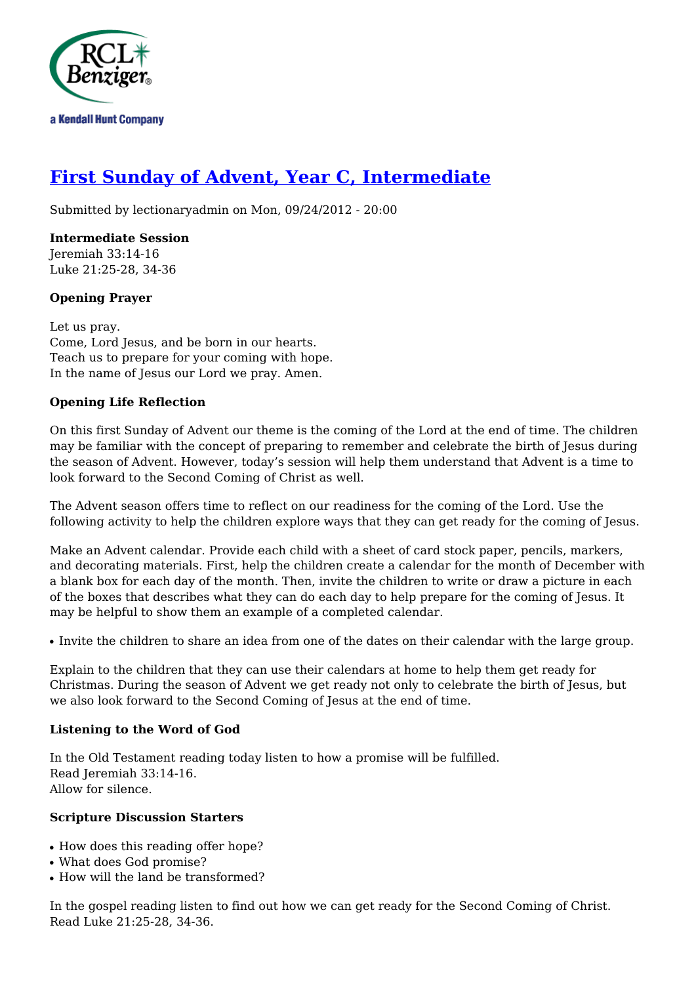

# **[First Sunday of Advent, Year C, Intermediate](http://rclblectionary.com/first-sunday-advent-year-c-intermediate)**

Submitted by lectionaryadmin on Mon, 09/24/2012 - 20:00

**Intermediate Session** Jeremiah 33:14-16 Luke 21:25-28, 34-36

## **Opening Prayer**

Let us pray. Come, Lord Jesus, and be born in our hearts. Teach us to prepare for your coming with hope. In the name of Jesus our Lord we pray. Amen.

## **Opening Life Reflection**

On this first Sunday of Advent our theme is the coming of the Lord at the end of time. The children may be familiar with the concept of preparing to remember and celebrate the birth of Jesus during the season of Advent. However, today's session will help them understand that Advent is a time to look forward to the Second Coming of Christ as well.

The Advent season offers time to reflect on our readiness for the coming of the Lord. Use the following activity to help the children explore ways that they can get ready for the coming of Jesus.

Make an Advent calendar. Provide each child with a sheet of card stock paper, pencils, markers, and decorating materials. First, help the children create a calendar for the month of December with a blank box for each day of the month. Then, invite the children to write or draw a picture in each of the boxes that describes what they can do each day to help prepare for the coming of Jesus. It may be helpful to show them an example of a completed calendar.

• Invite the children to share an idea from one of the dates on their calendar with the large group.

Explain to the children that they can use their calendars at home to help them get ready for Christmas. During the season of Advent we get ready not only to celebrate the birth of Jesus, but we also look forward to the Second Coming of Jesus at the end of time.

#### **Listening to the Word of God**

In the Old Testament reading today listen to how a promise will be fulfilled. Read Jeremiah 33:14-16. Allow for silence.

#### **Scripture Discussion Starters**

- How does this reading offer hope?
- What does God promise?
- How will the land be transformed?

In the gospel reading listen to find out how we can get ready for the Second Coming of Christ. Read Luke 21:25-28, 34-36.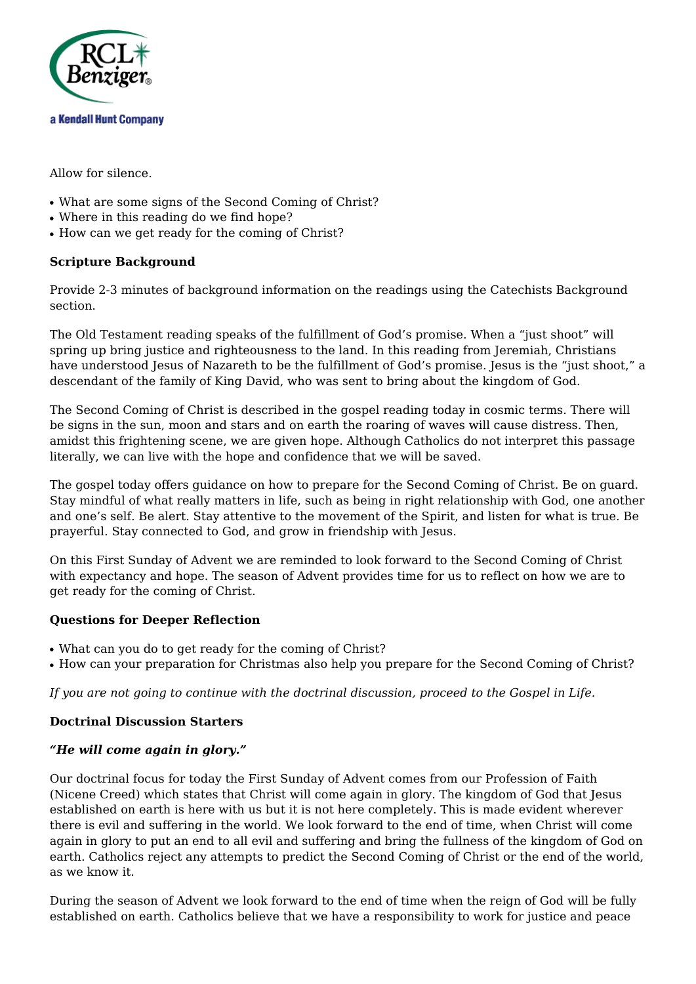

Allow for silence.

- What are some signs of the Second Coming of Christ?
- Where in this reading do we find hope?
- How can we get ready for the coming of Christ?

## **Scripture Background**

Provide 2-3 minutes of background information on the readings using the Catechists Background section.

The Old Testament reading speaks of the fulfillment of God's promise. When a "just shoot" will spring up bring justice and righteousness to the land. In this reading from Jeremiah, Christians have understood Jesus of Nazareth to be the fulfillment of God's promise. Jesus is the "just shoot," a descendant of the family of King David, who was sent to bring about the kingdom of God.

The Second Coming of Christ is described in the gospel reading today in cosmic terms. There will be signs in the sun, moon and stars and on earth the roaring of waves will cause distress. Then, amidst this frightening scene, we are given hope. Although Catholics do not interpret this passage literally, we can live with the hope and confidence that we will be saved.

The gospel today offers guidance on how to prepare for the Second Coming of Christ. Be on guard. Stay mindful of what really matters in life, such as being in right relationship with God, one another and one's self. Be alert. Stay attentive to the movement of the Spirit, and listen for what is true. Be prayerful. Stay connected to God, and grow in friendship with Jesus.

On this First Sunday of Advent we are reminded to look forward to the Second Coming of Christ with expectancy and hope. The season of Advent provides time for us to reflect on how we are to get ready for the coming of Christ.

#### **Questions for Deeper Reflection**

- What can you do to get ready for the coming of Christ?
- How can your preparation for Christmas also help you prepare for the Second Coming of Christ?

*If you are not going to continue with the doctrinal discussion, proceed to the Gospel in Life.*

#### **Doctrinal Discussion Starters**

#### *"He will come again in glory."*

Our doctrinal focus for today the First Sunday of Advent comes from our Profession of Faith (Nicene Creed) which states that Christ will come again in glory. The kingdom of God that Jesus established on earth is here with us but it is not here completely. This is made evident wherever there is evil and suffering in the world. We look forward to the end of time, when Christ will come again in glory to put an end to all evil and suffering and bring the fullness of the kingdom of God on earth. Catholics reject any attempts to predict the Second Coming of Christ or the end of the world, as we know it.

During the season of Advent we look forward to the end of time when the reign of God will be fully established on earth. Catholics believe that we have a responsibility to work for justice and peace